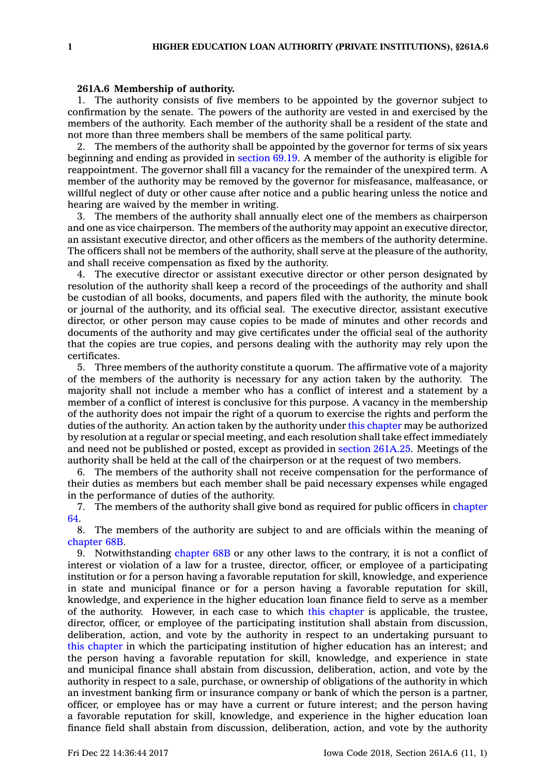## **261A.6 Membership of authority.**

1. The authority consists of five members to be appointed by the governor subject to confirmation by the senate. The powers of the authority are vested in and exercised by the members of the authority. Each member of the authority shall be <sup>a</sup> resident of the state and not more than three members shall be members of the same political party.

2. The members of the authority shall be appointed by the governor for terms of six years beginning and ending as provided in [section](https://www.legis.iowa.gov/docs/code/69.19.pdf) 69.19. A member of the authority is eligible for reappointment. The governor shall fill <sup>a</sup> vacancy for the remainder of the unexpired term. A member of the authority may be removed by the governor for misfeasance, malfeasance, or willful neglect of duty or other cause after notice and <sup>a</sup> public hearing unless the notice and hearing are waived by the member in writing.

3. The members of the authority shall annually elect one of the members as chairperson and one as vice chairperson. The members of the authority may appoint an executive director, an assistant executive director, and other officers as the members of the authority determine. The officers shall not be members of the authority, shall serve at the pleasure of the authority, and shall receive compensation as fixed by the authority.

4. The executive director or assistant executive director or other person designated by resolution of the authority shall keep <sup>a</sup> record of the proceedings of the authority and shall be custodian of all books, documents, and papers filed with the authority, the minute book or journal of the authority, and its official seal. The executive director, assistant executive director, or other person may cause copies to be made of minutes and other records and documents of the authority and may give certificates under the official seal of the authority that the copies are true copies, and persons dealing with the authority may rely upon the certificates.

5. Three members of the authority constitute <sup>a</sup> quorum. The affirmative vote of <sup>a</sup> majority of the members of the authority is necessary for any action taken by the authority. The majority shall not include <sup>a</sup> member who has <sup>a</sup> conflict of interest and <sup>a</sup> statement by <sup>a</sup> member of <sup>a</sup> conflict of interest is conclusive for this purpose. A vacancy in the membership of the authority does not impair the right of <sup>a</sup> quorum to exercise the rights and perform the duties of the authority. An action taken by the authority under this [chapter](https://www.legis.iowa.gov/docs/code//261A.pdf) may be authorized by resolution at <sup>a</sup> regular or special meeting, and each resolution shall take effect immediately and need not be published or posted, except as provided in section [261A.25](https://www.legis.iowa.gov/docs/code/261A.25.pdf). Meetings of the authority shall be held at the call of the chairperson or at the request of two members.

6. The members of the authority shall not receive compensation for the performance of their duties as members but each member shall be paid necessary expenses while engaged in the performance of duties of the authority.

7. The members of the authority shall give bond as required for public officers in [chapter](https://www.legis.iowa.gov/docs/code//64.pdf) [64](https://www.legis.iowa.gov/docs/code//64.pdf).

8. The members of the authority are subject to and are officials within the meaning of [chapter](https://www.legis.iowa.gov/docs/code//68B.pdf) 68B.

9. Notwithstanding [chapter](https://www.legis.iowa.gov/docs/code//68B.pdf) 68B or any other laws to the contrary, it is not <sup>a</sup> conflict of interest or violation of <sup>a</sup> law for <sup>a</sup> trustee, director, officer, or employee of <sup>a</sup> participating institution or for <sup>a</sup> person having <sup>a</sup> favorable reputation for skill, knowledge, and experience in state and municipal finance or for <sup>a</sup> person having <sup>a</sup> favorable reputation for skill, knowledge, and experience in the higher education loan finance field to serve as <sup>a</sup> member of the authority. However, in each case to which this [chapter](https://www.legis.iowa.gov/docs/code//261A.pdf) is applicable, the trustee, director, officer, or employee of the participating institution shall abstain from discussion, deliberation, action, and vote by the authority in respect to an undertaking pursuant to this [chapter](https://www.legis.iowa.gov/docs/code//261A.pdf) in which the participating institution of higher education has an interest; and the person having <sup>a</sup> favorable reputation for skill, knowledge, and experience in state and municipal finance shall abstain from discussion, deliberation, action, and vote by the authority in respect to <sup>a</sup> sale, purchase, or ownership of obligations of the authority in which an investment banking firm or insurance company or bank of which the person is <sup>a</sup> partner, officer, or employee has or may have <sup>a</sup> current or future interest; and the person having <sup>a</sup> favorable reputation for skill, knowledge, and experience in the higher education loan finance field shall abstain from discussion, deliberation, action, and vote by the authority